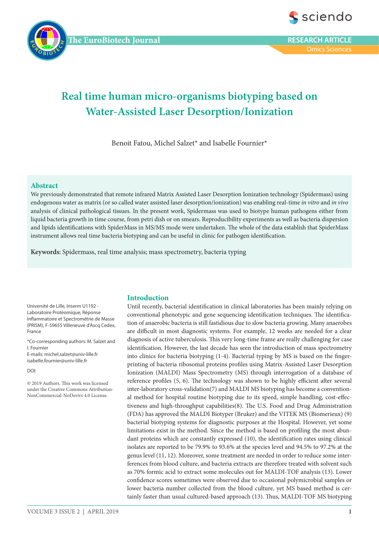



Omics Sciences

# **Real time human micro-organisms biotyping based on Water-Assisted Laser Desorption/Ionization**

Benoit Fatou, Michel Salzet\* and Isabelle Fournier\*

# **Abstract**

We previously demonstrated that remote infrared Matrix Assisted Laser Desorption Ionization technology (Spidermass) using endogenous water as matrix (or so called water assisted laser desorption/ionization) was enabling real-time *in vitro* and *in vivo* analysis of clinical pathological tissues. In the present work, Spidermass was used to biotype human pathogens either from liquid bacteria growth in time course, from petri dish or on smears. Reproducibility experiments as well as bacteria dispersion and lipids identifications with SpiderMass in MS/MS mode were undertaken. The whole of the data establish that SpiderMass instrument allows real time bacteria biotyping and can be useful in clinic for pathogen identification.

**Keywords:** Spidermass, real time analysis; mass spectrometry, bacteria typing

Université de Lille, Inserm U1192 - Laboratoire Protéomique, Réponse Inflammatoire et Spectrométrie de Masse (PRISM), F-59655 Villeneuve d'Ascq Cedex, France

\*Co-corresponding authors: M. Salzet and I. Fournier E-mails: michel.salzet@univ-lille.fr isabelle.fournier@univ-lille.fr

DOI:

© 2019 Authors. This work was licensed under the Creative Commons Attribution-NonCommercial-NoDerivs 4.0 License.

# **Introduction**

Until recently, bacterial identification in clinical laboratories has been mainly relying on conventional phenotypic and gene sequencing identification techniques. The identification of anaerobic bacteria is still fastidious due to slow bacteria growing. Many anaerobes are difficult in most diagnostic systems. For example, 12 weeks are needed for a clear diagnosis of active tuberculosis. This very long-time frame are really challenging for case identification. However, the last decade has seen the introduction of mass spectrometry into clinics for bacteria biotyping (1-4). Bacterial typing by MS is based on the fingerprinting of bacteria ribosomal proteins profiles using Matrix-Assisted Laser Desorption Ionization (MALDI) Mass Spectrometry (MS) through interrogation of a database of reference profiles (5, 6). The technology was shown to be highly efficient after several inter-laboratory cross-validation(7) and MALDI MS biotyping has become a conventional method for hospital routine biotyping due to its speed, simple handling, cost-effectiveness and high-throughput capabilities(8). The U.S. Food and Drug Administration (FDA) has approved the MALDI Biotyper (Bruker) and the VITEK MS (Biomerieux) (9) bacterial biotyping systems for diagnostic purposes at the Hospital. However, yet some limitations exist in the method. Since the method is based on profiling the most abundant proteins which are constantly expressed (10), the identification rates using clinical isolates are reported to be 79.9% to 93.6% at the species level and 94.5% to 97.2% at the genus level (11, 12). Moreover, some treatment are needed in order to reduce some interferences from blood culture, and bacteria extracts are therefore treated with solvent such as 70% formic acid to extract some molecules out for MALDI‐TOF analysis (13). Lower confidence scores sometimes were observed due to occasional polymicrobial samples or lower bacteria number collected from the blood culture, yet MS based method is certainly faster than usual cultured‐based approach (13). Thus, MALDI-TOF MS biotyping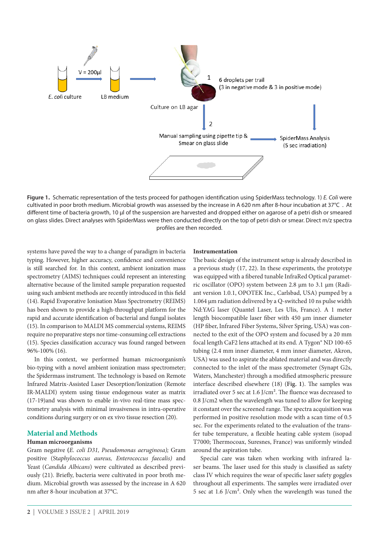

**Figure 1.**  Schematic representation of the tests proceed for pathogen identification using SpiderMass technology. 1) *E. Coli* were cultivated in poor broth medium. Microbial growth was assessed by the increase in A 620 nm after 8-hour incubation at 37°C . At different time of bacteria growth, 10 µl of the suspension are harvested and dropped either on agarose of a petri dish or smeared on glass slides. Direct analyses with SpiderMass were then conducted directly on the top of petri dish or smear. Direct m/z spectra profiles are then recorded.

systems have paved the way to a change of paradigm in bacteria typing. However, higher accuracy, confidence and convenience is still searched for. In this context, ambient ionization mass spectrometry (AIMS) techniques could represent an interesting alternative because of the limited sample preparation requested using such ambient methods are recently introduced in this field (14). Rapid Evaporative Ionisation Mass Spectrometry (REIMS) has been shown to provide a high-throughput platform for the rapid and accurate identification of bacterial and fungal isolates (15). In comparison to MALDI MS commercial systems, REIMS require no preparative steps nor time-consuming cell extractions (15). Species classification accuracy was found ranged between 96%-100% (16).

In this context, we performed human microorganism's bio-typing with a novel ambient ionization mass spectrometer; the Spidermass instrument. The technology is based on Remote Infrared Matrix-Assisted Laser Desorption/Ionization (Remote IR-MALDI) system using tissue endogenous water as matrix (17-19)and was shown to enable in-vivo real-time mass spectrometry analysis with minimal invasiveness in intra-operative conditions during surgery or on ex vivo tissue resection (20).

# **Material and Methods**

# **Human microorganisms**

Gram negative **(***E. coli D31, Pseudomonas aeruginosa);* Gram positive (St*aphylococcus aureus, Enterococcus faecalis)* and Yeast (*Candida Albicans*) were cultivated as described previously (21). Briefly, bacteria were cultivated in poor broth medium. Microbial growth was assessed by the increase in A 620 nm after 8-hour incubation at 37°C.

#### **Instrumentation**

The basic design of the instrument setup is already described in a previous study (17, 22). In these experiments, the prototype was equipped with a fibered tunable InfraRed Optical parametric oscillator (OPO) system between 2.8 µm to 3.1 µm (Radiant version 1.0.1, OPOTEK Inc., Carlsbad, USA) pumped by a 1.064 µm radiation delivered by a Q-switched 10 ns pulse width Nd:YAG laser (Quantel Laser, Les Ulis, France). A 1 meter length biocompatible laser fiber with 450 µm inner diameter (HP fiber, Infrared Fiber Systems, Silver Spring, USA) was connected to the exit of the OPO system and focused by a 20 mm focal length CaF2 lens attached at its end. A Tygon® ND 100-65 tubing (2.4 mm inner diameter, 4 mm inner diameter, Akron, USA) was used to aspirate the ablated material and was directly connected to the inlet of the mass spectrometer (Synapt G2s, Waters, Manchester) through a modified atmospheric pressure interface described elsewhere (18) (**Fig. 1**). The samples was irradiated over 5 sec at 1.6 J/cm². The fluence was decreased to 0.8 J/cm2 when the wavelength was tuned to allow for keeping it constant over the screened range. The spectra acquisition was performed in positive resolution mode with a scan time of 0.5 sec. For the experiments related to the evaluation of the transfer tube temperature, a flexible heating cable system (isopad T7000; Thermocoax, Suresnes, France) was uniformly winded around the aspiration tube.

Special care was taken when working with infrared laser beams. The laser used for this study is classified as safety class IV which requires the wear of specific laser safety goggles throughout all experiments. The samples were irradiated over 5 sec at 1.6 J/cm². Only when the wavelength was tuned the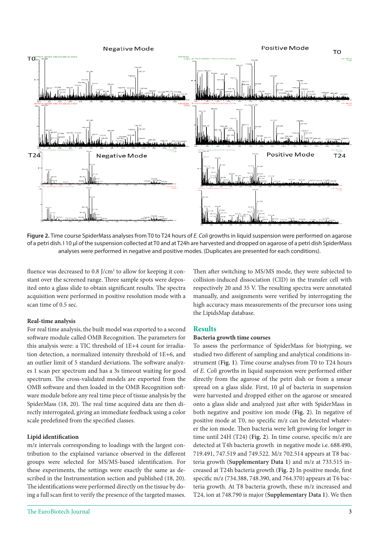

**Figure 2.** Time course SpiderMass analyses from T0 to T24 hours of *E. Coli* growths in liquid suspension were performed on agarose of a petri dish. I 10 µl of the suspension collected at T0 and at T24h are harvested and dropped on agarose of a petri dish SpiderMass analyses were performed in negative and positive modes. (Duplicates are presented for each conditions).

fluence was decreased to 0.8 J/cm<sup>2</sup> to allow for keeping it constant over the screened range. Three sample spots were deposited onto a glass slide to obtain significant results. The spectra acquisition were performed in positive resolution mode with a scan time of 0.5 sec.

# **Real-time analysis**

For real time analysis, the built model was exported to a second software module called OMB Recognition. The parameters for this analysis were: a TIC threshold of 1E+4 count for irradiation detection, a normalized intensity threshold of 1E+6, and an outlier limit of 5 standard deviations. The software analyzes 1 scan per spectrum and has a 3s timeout waiting for good spectrum. The cross-validated models are exported from the OMB software and then loaded in the OMB Recognition software module before any real time piece of tissue analysis by the SpiderMass (18, 20). The real time acquired data are then directly interrogated, giving an immediate feedback using a color scale predefined from the specified classes.

# **Lipid identification**

m/z intervals corresponding to loadings with the largest contribution to the explained variance observed in the different groups were selected for MS/MS-based identification. For these experiments, the settings were exactly the same as described in the Instrumentation section and published (18, 20). The identifications were performed directly on the tissue by doing a full scan first to verify the presence of the targeted masses.

Then after switching to MS/MS mode, they were subjected to collision-induced dissociation (CID) in the transfer cell with respectively 20 and 35 V. The resulting spectra were annotated manually, and assignments were verified by interrogating the high accuracy mass measurements of the precursor ions using the LipidsMap database.

# **Results**

# **Bacteria growth time courses**

To assess the performance of SpiderMass for biotyping, we studied two different of sampling and analytical conditions instrument (**Fig. 1**). Time course analyses from T0 to T24 hours of *E. Coli* growths in liquid suspension were performed either directly from the agarose of the petri dish or from a smear spread on a glass slide. First, 10 µl of bacteria in suspension were harvested and dropped either on the agarose or smeared onto a glass slide and analyzed just after with SpiderMass in both negative and positive ion mode (**Fig. 2**). In negative of positive mode at T0, no specific m/z can be detected whatever the ion mode. Then bacteria were left growing for longer in time until 24H (T24) (**Fig. 2**). In time course, specific m/z are detected at T4h bacteria growth in negative mode i.e. 688.490, 719.491, 747.519 and 749.522. M/z 702.514 appears at T8 bacteria growth (**Supplementary Data 1**) and m/z at 733.515 increased at T24h bacteria growth (**Fig. 2)** In positive mode, first specific m/z (734.388, 748.390, and 764.370) appears at T6 bacteria growth. At T8 bacteria growth, these m/z increased and T24, ion at 748.790 is major (**Supplementary Data 1**). We then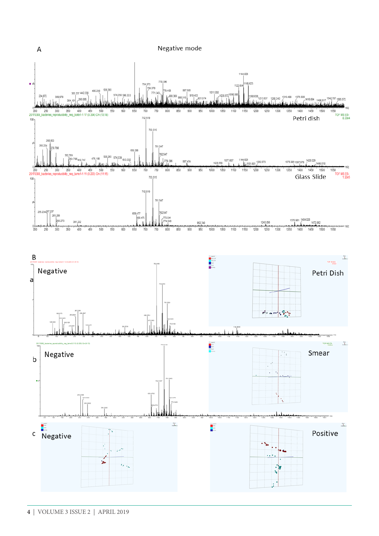Negative mode

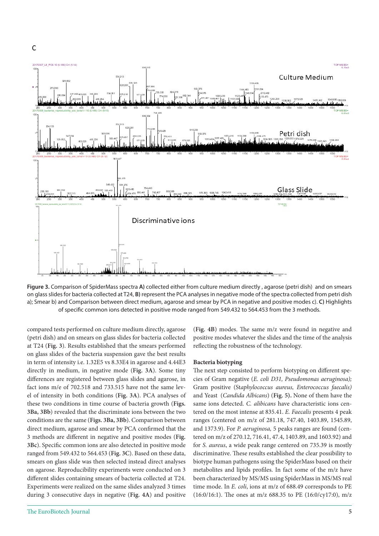

**Figure 3.** Comparison of SpiderMass spectra **A)** collected either from culture medium directly , agarose (petri dish) and on smears on glass slides for bacteria collected at T24, **B)** represent the PCA analyses in negative mode of the spectra collected from petri dish a); Smear b) and Comparison between direct medium, agarose and smear by PCA in negative and positive modes c). **C)** Highlights of specific common ions detected in positive mode ranged from 549.432 to 564.453 from the 3 methods.

compared tests performed on culture medium directly, agarose (petri dish) and on smears on glass slides for bacteria collected at T24 (**Fig. 3**). Results established that the smears performed on glass slides of the bacteria suspension gave the best results in term of intensity i.e. 1.32E5 vs 8.33E4 in agarose and 4.44E3 directly in medium, in negative mode (**Fig. 3A**). Some tiny differences are registered between glass slides and agarose, in fact ions m/e of 702.518 and 733.515 have not the same level of intensity in both conditions (**Fig. 3A**). PCA analyses of these two conditions in time course of bacteria growth (**Figs. 3Ba, 3Bb**) revealed that the discriminate ions between the two conditions are the same (**Figs. 3Ba, 3Bb**). Comparison between direct medium, agarose and smear by PCA confirmed that the 3 methods are different in negative and positive modes (**Fig. 3Bc**). Specific common ions are also detected in positive mode ranged from 549.432 to 564.453 (**Fig. 3C**). Based on these data, smears on glass slide was then selected instead direct analyses on agarose. Reproducibility experiments were conducted on 3 different slides containing smears of bacteria collected at T24. Experiments were realized on the same slides analyzed 3 times during 3 consecutive days in negative (**Fig. 4A**) and positive

(**Fig. 4B**) modes. The same m/z were found in negative and positive modes whatever the slides and the time of the analysis reflecting the robustness of the technology.

#### **Bacteria biotyping**

The next step consisted to perform biotyping on different species of Gram negative (*E. coli D31, Pseudomonas aeruginosa);* Gram positive (St*aphylococcus aureus, Enterococcus faecalis)* and Yeast (*Candida Albicans*) (**Fig. 5).** None of them have the same ions detected. *C. alibicans* have characteristic ions centered on the most intense at 835.41. *E. Faecalis* presents 4 peak ranges (centered on m/z of 281.18, 747.40, 1403.89, 1545.89, and 1373.9). For *P. aeruginosa,* 5 peaks ranges are found (centered on m/z of 270.12, 716.41, 47.4, 1403.89, and 1603.92) and for *S. aureus*, a wide peak range centered on 735.39 is mostly discriminative. These results established the clear possibility to biotype human pathogens using the SpiderMass based on their metabolites and lipids profiles. In fact some of the m/z have been characterized by MS/MS using SpiderMass in MS/MS real time mode. In *E. coli*, ions at m/z of 688.49 corresponds to PE (16:0/16:1). The ones at m/z 688.35 to PE (16:0/cy17:0), m/z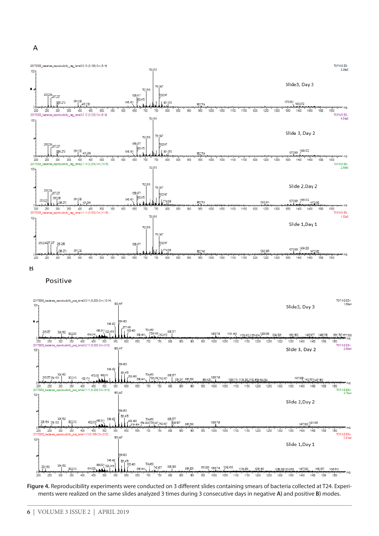



Positive



**Figure 4.** Reproducibility experiments were conducted on 3 different slides containing smears of bacteria collected at T24. Experiments were realized on the same slides analyzed 3 times during 3 consecutive days in negative **A)** and positive **B)** modes.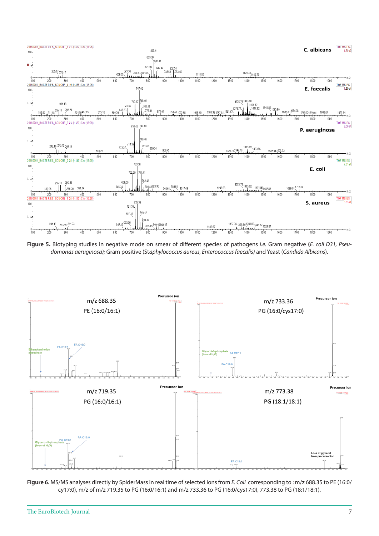

**Figure 5.** Biotyping studies in negative mode on smear of different species of pathogens *i.e.* Gram negative **(***E. coli D31, Pseudomonas aeruginosa);* Gram positive (St*aphylococcus aureus, Enterococcus faecalis)* and Yeast (*Candida Albicans*).



**Figure 6.** MS/MS analyses directly by SpiderMass in real time of selected ions from *E. Coli* corresponding to : m/z 688.35 to PE (16:0/ cy17:0), m/z of m/z 719.35 to PG (16:0/16:1) and m/z 733.36 to PG (16:0/cys17:0), 773.38 to PG (18:1/18:1).